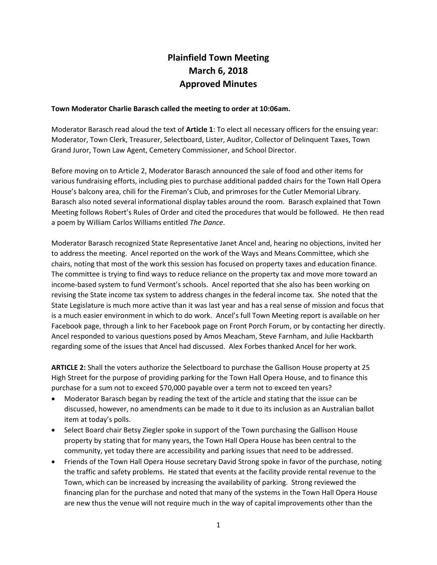## **Plainfield Town Meeting March 6, 2018 Approved Minutes**

## **Town Moderator Charlie Barasch called the meeting to order at 10:06am.**

Moderator Barasch read aloud the text of **Article 1**: To elect all necessary officers for the ensuing year: Moderator, Town Clerk, Treasurer, Selectboard, Lister, Auditor, Collector of Delinquent Taxes, Town Grand Juror, Town Law Agent, Cemetery Commissioner, and School Director.

Before moving on to Article 2, Moderator Barasch announced the sale of food and other items for various fundraising efforts, including pies to purchase additional padded chairs for the Town Hall Opera House's balcony area, chili for the Fireman's Club, and primroses for the Cutler Memorial Library. Barasch also noted several informational display tables around the room. Barasch explained that Town Meeting follows Robert's Rules of Order and cited the procedures that would be followed. He then read a poem by William Carlos Williams entitled *The Dance*.

Moderator Barasch recognized State Representative Janet Ancel and, hearing no objections, invited her to address the meeting. Ancel reported on the work of the Ways and Means Committee, which she chairs, noting that most of the work this session has focused on property taxes and education finance. The committee is trying to find ways to reduce reliance on the property tax and move more toward an income-based system to fund Vermont's schools. Ancel reported that she also has been working on revising the State income tax system to address changes in the federal income tax. She noted that the State Legislature is much more active than it was last year and has a real sense of mission and focus that is a much easier environment in which to do work. Ancel's full Town Meeting report is available on her Facebook page, through a link to her Facebook page on Front Porch Forum, or by contacting her directly. Ancel responded to various questions posed by Amos Meacham, Steve Farnham, and Julie Hackbarth regarding some of the issues that Ancel had discussed. Alex Forbes thanked Ancel for her work.

**ARTICLE 2:** Shall the voters authorize the Selectboard to purchase the Gallison House property at 25 High Street for the purpose of providing parking for the Town Hall Opera House, and to finance this purchase for a sum not to exceed \$70,000 payable over a term not to exceed ten years?

- Moderator Barasch began by reading the text of the article and stating that the issue can be discussed, however, no amendments can be made to it due to its inclusion as an Australian ballot item at today's polls.
- Select Board chair Betsy Ziegler spoke in support of the Town purchasing the Gallison House property by stating that for many years, the Town Hall Opera House has been central to the community, yet today there are accessibility and parking issues that need to be addressed.
- Friends of the Town Hall Opera House secretary David Strong spoke in favor of the purchase, noting the traffic and safety problems. He stated that events at the facility provide rental revenue to the Town, which can be increased by increasing the availability of parking. Strong reviewed the financing plan for the purchase and noted that many of the systems in the Town Hall Opera House are new thus the venue will not require much in the way of capital improvements other than the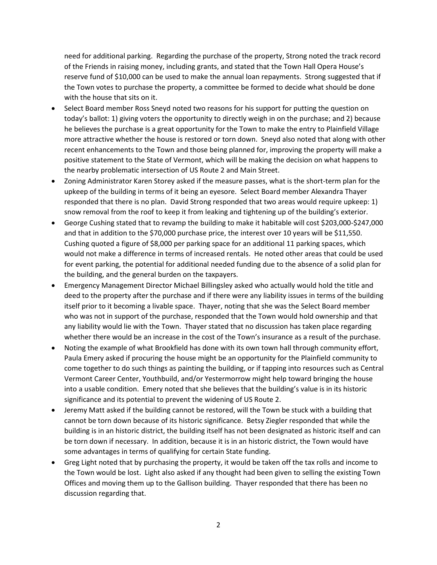need for additional parking. Regarding the purchase of the property, Strong noted the track record of the Friends in raising money, including grants, and stated that the Town Hall Opera House's reserve fund of \$10,000 can be used to make the annual loan repayments. Strong suggested that if the Town votes to purchase the property, a committee be formed to decide what should be done with the house that sits on it.

- Select Board member Ross Sneyd noted two reasons for his support for putting the question on today's ballot: 1) giving voters the opportunity to directly weigh in on the purchase; and 2) because he believes the purchase is a great opportunity for the Town to make the entry to Plainfield Village more attractive whether the house is restored or torn down. Sneyd also noted that along with other recent enhancements to the Town and those being planned for, improving the property will make a positive statement to the State of Vermont, which will be making the decision on what happens to the nearby problematic intersection of US Route 2 and Main Street.
- Zoning Administrator Karen Storey asked if the measure passes, what is the short-term plan for the upkeep of the building in terms of it being an eyesore. Select Board member Alexandra Thayer responded that there is no plan. David Strong responded that two areas would require upkeep: 1) snow removal from the roof to keep it from leaking and tightening up of the building's exterior.
- George Cushing stated that to revamp the building to make it habitable will cost \$203,000-\$247,000 and that in addition to the \$70,000 purchase price, the interest over 10 years will be \$11,550. Cushing quoted a figure of \$8,000 per parking space for an additional 11 parking spaces, which would not make a difference in terms of increased rentals. He noted other areas that could be used for event parking, the potential for additional needed funding due to the absence of a solid plan for the building, and the general burden on the taxpayers.
- Emergency Management Director Michael Billingsley asked who actually would hold the title and deed to the property after the purchase and if there were any liability issues in terms of the building itself prior to it becoming a livable space. Thayer, noting that she was the Select Board member who was not in support of the purchase, responded that the Town would hold ownership and that any liability would lie with the Town. Thayer stated that no discussion has taken place regarding whether there would be an increase in the cost of the Town's insurance as a result of the purchase.
- Noting the example of what Brookfield has done with its own town hall through community effort, Paula Emery asked if procuring the house might be an opportunity for the Plainfield community to come together to do such things as painting the building, or if tapping into resources such as Central Vermont Career Center, Youthbuild, and/or Yestermorrow might help toward bringing the house into a usable condition. Emery noted that she believes that the building's value is in its historic significance and its potential to prevent the widening of US Route 2.
- Jeremy Matt asked if the building cannot be restored, will the Town be stuck with a building that cannot be torn down because of its historic significance. Betsy Ziegler responded that while the building is in an historic district, the building itself has not been designated as historic itself and can be torn down if necessary. In addition, because it is in an historic district, the Town would have some advantages in terms of qualifying for certain State funding.
- Greg Light noted that by purchasing the property, it would be taken off the tax rolls and income to the Town would be lost. Light also asked if any thought had been given to selling the existing Town Offices and moving them up to the Gallison building. Thayer responded that there has been no discussion regarding that.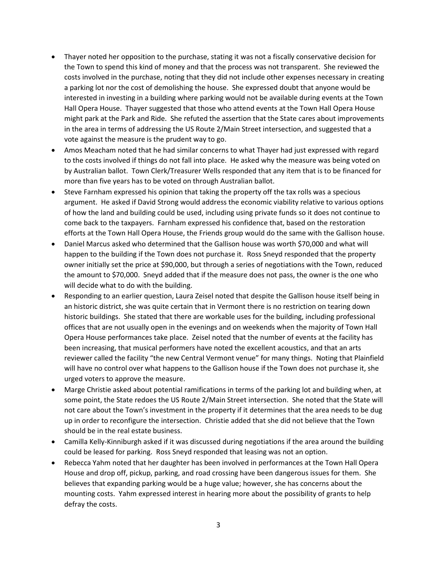- Thayer noted her opposition to the purchase, stating it was not a fiscally conservative decision for the Town to spend this kind of money and that the process was not transparent. She reviewed the costs involved in the purchase, noting that they did not include other expenses necessary in creating a parking lot nor the cost of demolishing the house. She expressed doubt that anyone would be interested in investing in a building where parking would not be available during events at the Town Hall Opera House. Thayer suggested that those who attend events at the Town Hall Opera House might park at the Park and Ride. She refuted the assertion that the State cares about improvements in the area in terms of addressing the US Route 2/Main Street intersection, and suggested that a vote against the measure is the prudent way to go.
- Amos Meacham noted that he had similar concerns to what Thayer had just expressed with regard to the costs involved if things do not fall into place. He asked why the measure was being voted on by Australian ballot. Town Clerk/Treasurer Wells responded that any item that is to be financed for more than five years has to be voted on through Australian ballot.
- Steve Farnham expressed his opinion that taking the property off the tax rolls was a specious argument. He asked if David Strong would address the economic viability relative to various options of how the land and building could be used, including using private funds so it does not continue to come back to the taxpayers. Farnham expressed his confidence that, based on the restoration efforts at the Town Hall Opera House, the Friends group would do the same with the Gallison house.
- Daniel Marcus asked who determined that the Gallison house was worth \$70,000 and what will happen to the building if the Town does not purchase it. Ross Sneyd responded that the property owner initially set the price at \$90,000, but through a series of negotiations with the Town, reduced the amount to \$70,000. Sneyd added that if the measure does not pass, the owner is the one who will decide what to do with the building.
- Responding to an earlier question, Laura Zeisel noted that despite the Gallison house itself being in an historic district, she was quite certain that in Vermont there is no restriction on tearing down historic buildings. She stated that there are workable uses for the building, including professional offices that are not usually open in the evenings and on weekends when the majority of Town Hall Opera House performances take place. Zeisel noted that the number of events at the facility has been increasing, that musical performers have noted the excellent acoustics, and that an arts reviewer called the facility "the new Central Vermont venue" for many things. Noting that Plainfield will have no control over what happens to the Gallison house if the Town does not purchase it, she urged voters to approve the measure.
- Marge Christie asked about potential ramifications in terms of the parking lot and building when, at some point, the State redoes the US Route 2/Main Street intersection. She noted that the State will not care about the Town's investment in the property if it determines that the area needs to be dug up in order to reconfigure the intersection. Christie added that she did not believe that the Town should be in the real estate business.
- Camilla Kelly-Kinniburgh asked if it was discussed during negotiations if the area around the building could be leased for parking. Ross Sneyd responded that leasing was not an option.
- Rebecca Yahm noted that her daughter has been involved in performances at the Town Hall Opera House and drop off, pickup, parking, and road crossing have been dangerous issues for them. She believes that expanding parking would be a huge value; however, she has concerns about the mounting costs. Yahm expressed interest in hearing more about the possibility of grants to help defray the costs.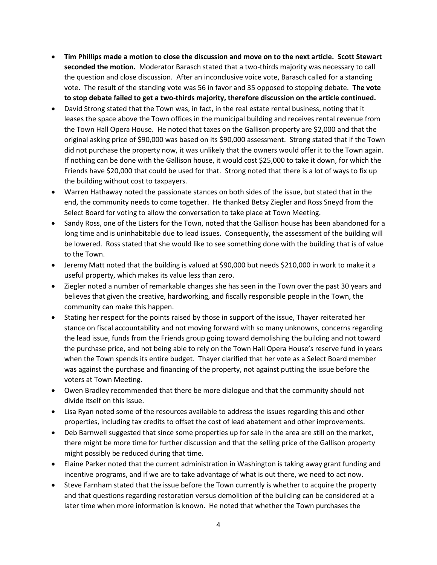- **Tim Phillips made a motion to close the discussion and move on to the next article. Scott Stewart seconded the motion.** Moderator Barasch stated that a two-thirds majority was necessary to call the question and close discussion. After an inconclusive voice vote, Barasch called for a standing vote. The result of the standing vote was 56 in favor and 35 opposed to stopping debate. **The vote to stop debate failed to get a two-thirds majority, therefore discussion on the article continued.**
- David Strong stated that the Town was, in fact, in the real estate rental business, noting that it leases the space above the Town offices in the municipal building and receives rental revenue from the Town Hall Opera House. He noted that taxes on the Gallison property are \$2,000 and that the original asking price of \$90,000 was based on its \$90,000 assessment. Strong stated that if the Town did not purchase the property now, it was unlikely that the owners would offer it to the Town again. If nothing can be done with the Gallison house, it would cost \$25,000 to take it down, for which the Friends have \$20,000 that could be used for that. Strong noted that there is a lot of ways to fix up the building without cost to taxpayers.
- Warren Hathaway noted the passionate stances on both sides of the issue, but stated that in the end, the community needs to come together. He thanked Betsy Ziegler and Ross Sneyd from the Select Board for voting to allow the conversation to take place at Town Meeting.
- Sandy Ross, one of the Listers for the Town, noted that the Gallison house has been abandoned for a long time and is uninhabitable due to lead issues. Consequently, the assessment of the building will be lowered. Ross stated that she would like to see something done with the building that is of value to the Town.
- Jeremy Matt noted that the building is valued at \$90,000 but needs \$210,000 in work to make it a useful property, which makes its value less than zero.
- Ziegler noted a number of remarkable changes she has seen in the Town over the past 30 years and believes that given the creative, hardworking, and fiscally responsible people in the Town, the community can make this happen.
- Stating her respect for the points raised by those in support of the issue, Thayer reiterated her stance on fiscal accountability and not moving forward with so many unknowns, concerns regarding the lead issue, funds from the Friends group going toward demolishing the building and not toward the purchase price, and not being able to rely on the Town Hall Opera House's reserve fund in years when the Town spends its entire budget. Thayer clarified that her vote as a Select Board member was against the purchase and financing of the property, not against putting the issue before the voters at Town Meeting.
- Owen Bradley recommended that there be more dialogue and that the community should not divide itself on this issue.
- Lisa Ryan noted some of the resources available to address the issues regarding this and other properties, including tax credits to offset the cost of lead abatement and other improvements.
- Deb Barnwell suggested that since some properties up for sale in the area are still on the market, there might be more time for further discussion and that the selling price of the Gallison property might possibly be reduced during that time.
- Elaine Parker noted that the current administration in Washington is taking away grant funding and incentive programs, and if we are to take advantage of what is out there, we need to act now.
- Steve Farnham stated that the issue before the Town currently is whether to acquire the property and that questions regarding restoration versus demolition of the building can be considered at a later time when more information is known. He noted that whether the Town purchases the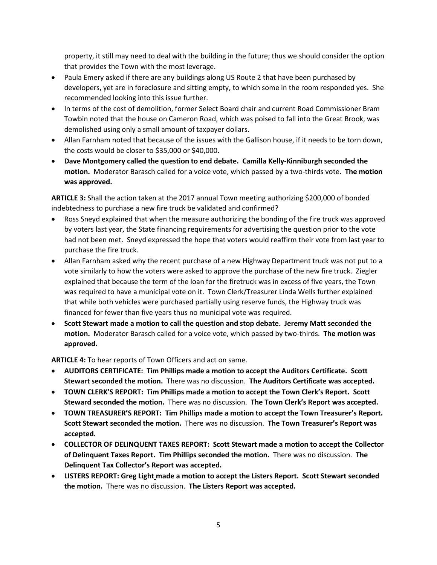property, it still may need to deal with the building in the future; thus we should consider the option that provides the Town with the most leverage.

- Paula Emery asked if there are any buildings along US Route 2 that have been purchased by developers, yet are in foreclosure and sitting empty, to which some in the room responded yes. She recommended looking into this issue further.
- In terms of the cost of demolition, former Select Board chair and current Road Commissioner Bram Towbin noted that the house on Cameron Road, which was poised to fall into the Great Brook, was demolished using only a small amount of taxpayer dollars.
- Allan Farnham noted that because of the issues with the Gallison house, if it needs to be torn down, the costs would be closer to \$35,000 or \$40,000.
- **Dave Montgomery called the question to end debate. Camilla Kelly-Kinniburgh seconded the motion.** Moderator Barasch called for a voice vote, which passed by a two-thirds vote. **The motion was approved.**

**ARTICLE 3:** Shall the action taken at the 2017 annual Town meeting authorizing \$200,000 of bonded indebtedness to purchase a new fire truck be validated and confirmed?

- Ross Sneyd explained that when the measure authorizing the bonding of the fire truck was approved by voters last year, the State financing requirements for advertising the question prior to the vote had not been met. Sneyd expressed the hope that voters would reaffirm their vote from last year to purchase the fire truck.
- Allan Farnham asked why the recent purchase of a new Highway Department truck was not put to a vote similarly to how the voters were asked to approve the purchase of the new fire truck. Ziegler explained that because the term of the loan for the firetruck was in excess of five years, the Town was required to have a municipal vote on it. Town Clerk/Treasurer Linda Wells further explained that while both vehicles were purchased partially using reserve funds, the Highway truck was financed for fewer than five years thus no municipal vote was required.
- **Scott Stewart made a motion to call the question and stop debate. Jeremy Matt seconded the motion.** Moderator Barasch called for a voice vote, which passed by two-thirds. **The motion was approved.**

**ARTICLE 4:** To hear reports of Town Officers and act on same.

- **AUDITORS CERTIFICATE: Tim Phillips made a motion to accept the Auditors Certificate. Scott Stewart seconded the motion.** There was no discussion. **The Auditors Certificate was accepted.**
- **TOWN CLERK'S REPORT: Tim Phillips made a motion to accept the Town Clerk's Report. Scott Steward seconded the motion.** There was no discussion. **The Town Clerk's Report was accepted.**
- **TOWN TREASURER'S REPORT: Tim Phillips made a motion to accept the Town Treasurer's Report. Scott Stewart seconded the motion.** There was no discussion. **The Town Treasurer's Report was accepted.**
- **COLLECTOR OF DELINQUENT TAXES REPORT:****Scott Stewart made a motion to accept the Collector of Delinquent Taxes Report. Tim Phillips seconded the motion.** There was no discussion. **The Delinquent Tax Collector's Report was accepted.**
- **LISTERS REPORT: Greg Light made a motion to accept the Listers Report. Scott Stewart seconded the motion.** There was no discussion. **The Listers Report was accepted.**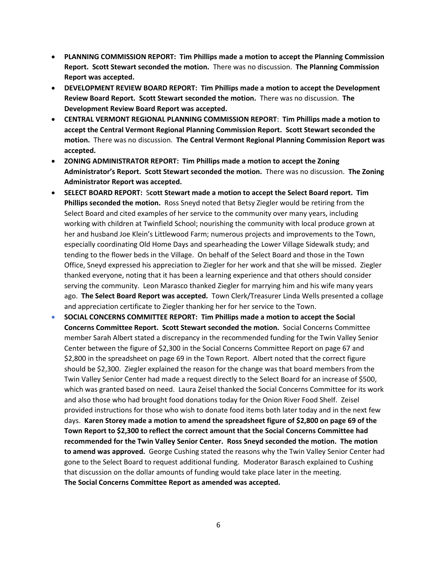- **PLANNING COMMISSION REPORT: Tim Phillips made a motion to accept the Planning Commission Report. Scott Stewart seconded the motion.** There was no discussion. **The Planning Commission Report was accepted.**
- **DEVELOPMENT REVIEW BOARD REPORT: Tim Phillips made a motion to accept the Development Review Board Report. Scott Stewart seconded the motion.** There was no discussion. **The Development Review Board Report was accepted.**
- **CENTRAL VERMONT REGIONAL PLANNING COMMISSION REPORT**: **Tim Phillips made a motion to accept the Central Vermont Regional Planning Commission Report. Scott Stewart seconded the motion.** There was no discussion. **The Central Vermont Regional Planning Commission Report was accepted.**
- **ZONING ADMINISTRATOR REPORT: Tim Phillips made a motion to accept the Zoning Administrator's Report. Scott Stewart seconded the motion.** There was no discussion. **The Zoning Administrator Report was accepted.**
- **SELECT BOARD REPORT:** S**cott Stewart made a motion to accept the Select Board report. Tim Phillips seconded the motion.** Ross Sneyd noted that Betsy Ziegler would be retiring from the Select Board and cited examples of her service to the community over many years, including working with children at Twinfield School; nourishing the community with local produce grown at her and husband Joe Klein's Littlewood Farm; numerous projects and improvements to the Town, especially coordinating Old Home Days and spearheading the Lower Village Sidewalk study; and tending to the flower beds in the Village. On behalf of the Select Board and those in the Town Office, Sneyd expressed his appreciation to Ziegler for her work and that she will be missed. Ziegler thanked everyone, noting that it has been a learning experience and that others should consider serving the community. Leon Marasco thanked Ziegler for marrying him and his wife many years ago. **The Select Board Report was accepted.** Town Clerk/Treasurer Linda Wells presented a collage and appreciation certificate to Ziegler thanking her for her service to the Town.
- **SOCIAL CONCERNS COMMITTEE REPORT: Tim Phillips made a motion to accept the Social Concerns Committee Report. Scott Stewart seconded the motion.** Social Concerns Committee member Sarah Albert stated a discrepancy in the recommended funding for the Twin Valley Senior Center between the figure of \$2,300 in the Social Concerns Committee Report on page 67 and \$2,800 in the spreadsheet on page 69 in the Town Report. Albert noted that the correct figure should be \$2,300. Ziegler explained the reason for the change was that board members from the Twin Valley Senior Center had made a request directly to the Select Board for an increase of \$500, which was granted based on need. Laura Zeisel thanked the Social Concerns Committee for its work and also those who had brought food donations today for the Onion River Food Shelf. Zeisel provided instructions for those who wish to donate food items both later today and in the next few days. **Karen Storey made a motion to amend the spreadsheet figure of \$2,800 on page 69 of the Town Report to \$2,300 to reflect the correct amount that the Social Concerns Committee had recommended for the Twin Valley Senior Center. Ross Sneyd seconded the motion. The motion to amend was approved.** George Cushing stated the reasons why the Twin Valley Senior Center had gone to the Select Board to request additional funding. Moderator Barasch explained to Cushing that discussion on the dollar amounts of funding would take place later in the meeting. **The Social Concerns Committee Report as amended was accepted.**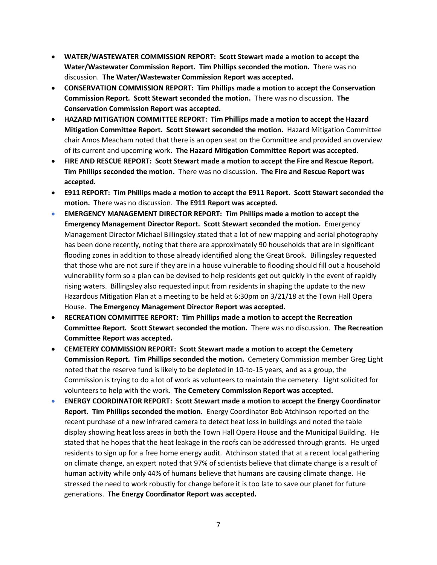- **WATER/WASTEWATER COMMISSION REPORT: Scott Stewart made a motion to accept the Water/Wastewater Commission Report. Tim Phillips seconded the motion.** There was no discussion. **The Water/Wastewater Commission Report was accepted.**
- **CONSERVATION COMMISSION REPORT: Tim Phillips made a motion to accept the Conservation Commission Report. Scott Stewart seconded the motion.** There was no discussion. **The Conservation Commission Report was accepted.**
- **HAZARD MITIGATION COMMITTEE REPORT: Tim Phillips made a motion to accept the Hazard Mitigation Committee Report. Scott Stewart seconded the motion.** Hazard Mitigation Committee chair Amos Meacham noted that there is an open seat on the Committee and provided an overview of its current and upcoming work. **The Hazard Mitigation Committee Report was accepted.**
- **FIRE AND RESCUE REPORT: Scott Stewart made a motion to accept the Fire and Rescue Report. Tim Phillips seconded the motion.** There was no discussion. **The Fire and Rescue Report was accepted.**
- **E911 REPORT: Tim Phillips made a motion to accept the E911 Report. Scott Stewart seconded the motion.** There was no discussion. **The E911 Report was accepted.**
- **EMERGENCY MANAGEMENT DIRECTOR REPORT: Tim Phillips made a motion to accept the Emergency Management Director Report. Scott Stewart seconded the motion.** Emergency Management Director Michael Billingsley stated that a lot of new mapping and aerial photography has been done recently, noting that there are approximately 90 households that are in significant flooding zones in addition to those already identified along the Great Brook. Billingsley requested that those who are not sure if they are in a house vulnerable to flooding should fill out a household vulnerability form so a plan can be devised to help residents get out quickly in the event of rapidly rising waters. Billingsley also requested input from residents in shaping the update to the new Hazardous Mitigation Plan at a meeting to be held at 6:30pm on 3/21/18 at the Town Hall Opera House. **The Emergency Management Director Report was accepted.**
- **RECREATION COMMITTEE REPORT: Tim Phillips made a motion to accept the Recreation Committee Report. Scott Stewart seconded the motion.** There was no discussion. **The Recreation Committee Report was accepted.**
- **CEMETERY COMMISSION REPORT: Scott Stewart made a motion to accept the Cemetery Commission Report. Tim Phillips seconded the motion.** Cemetery Commission member Greg Light noted that the reserve fund is likely to be depleted in 10-to-15 years, and as a group, the Commission is trying to do a lot of work as volunteers to maintain the cemetery. Light solicited for volunteers to help with the work. **The Cemetery Commission Report was accepted.**
- **ENERGY COORDINATOR REPORT: Scott Stewart made a motion to accept the Energy Coordinator Report. Tim Phillips seconded the motion.** Energy Coordinator Bob Atchinson reported on the recent purchase of a new infrared camera to detect heat loss in buildings and noted the table display showing heat loss areas in both the Town Hall Opera House and the Municipal Building. He stated that he hopes that the heat leakage in the roofs can be addressed through grants. He urged residents to sign up for a free home energy audit. Atchinson stated that at a recent local gathering on climate change, an expert noted that 97% of scientists believe that climate change is a result of human activity while only 44% of humans believe that humans are causing climate change. He stressed the need to work robustly for change before it is too late to save our planet for future generations. **The Energy Coordinator Report was accepted.**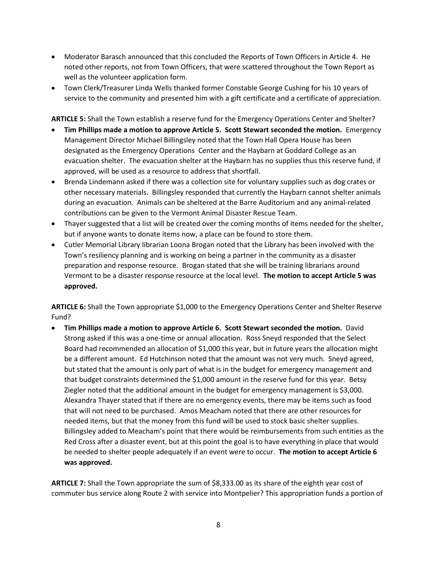- Moderator Barasch announced that this concluded the Reports of Town Officers in Article 4. He noted other reports, not from Town Officers, that were scattered throughout the Town Report as well as the volunteer application form.
- Town Clerk/Treasurer Linda Wells thanked former Constable George Cushing for his 10 years of service to the community and presented him with a gift certificate and a certificate of appreciation.

**ARTICLE 5:** Shall the Town establish a reserve fund for the Emergency Operations Center and Shelter?

- **Tim Phillips made a motion to approve Article 5. Scott Stewart seconded the motion.** Emergency Management Director Michael Billingsley noted that the Town Hall Opera House has been designated as the Emergency Operations Center and the Haybarn at Goddard College as an evacuation shelter. The evacuation shelter at the Haybarn has no supplies thus this reserve fund, if approved, will be used as a resource to address that shortfall.
- Brenda Lindemann asked if there was a collection site for voluntary supplies such as dog crates or other necessary materials. Billingsley responded that currently the Haybarn cannot shelter animals during an evacuation. Animals can be sheltered at the Barre Auditorium and any animal-related contributions can be given to the Vermont Animal Disaster Rescue Team.
- Thayer suggested that a list will be created over the coming months of items needed for the shelter, but if anyone wants to donate items now, a place can be found to store them.
- Cutler Memorial Library librarian Loona Brogan noted that the Library has been involved with the Town's resiliency planning and is working on being a partner in the community as a disaster preparation and response resource. Brogan stated that she will be training librarians around Vermont to be a disaster response resource at the local level. **The motion to accept Article 5 was approved.**

**ARTICLE 6:** Shall the Town appropriate \$1,000 to the Emergency Operations Center and Shelter Reserve Fund?

 **Tim Phillips made a motion to approve Article 6. Scott Stewart seconded the motion.** David Strong asked if this was a one-time or annual allocation. Ross Sneyd responded that the Select Board had recommended an allocation of \$1,000 this year, but in future years the allocation might be a different amount. Ed Hutchinson noted that the amount was not very much. Sneyd agreed, but stated that the amount is only part of what is in the budget for emergency management and that budget constraints determined the \$1,000 amount in the reserve fund for this year. Betsy Ziegler noted that the additional amount in the budget for emergency management is \$3,000. Alexandra Thayer stated that if there are no emergency events, there may be items such as food that will not need to be purchased. Amos Meacham noted that there are other resources for needed items, but that the money from this fund will be used to stock basic shelter supplies. Billingsley added to Meacham's point that there would be reimbursements from such entities as the Red Cross after a disaster event, but at this point the goal is to have everything in place that would be needed to shelter people adequately if an event were to occur. **The motion to accept Article 6 was approved.**

**ARTICLE 7:** Shall the Town appropriate the sum of \$8,333.00 as its share of the eighth year cost of commuter bus service along Route 2 with service into Montpelier? This appropriation funds a portion of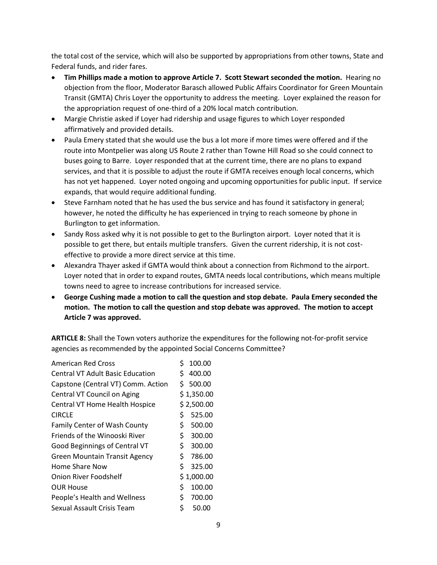the total cost of the service, which will also be supported by appropriations from other towns, State and Federal funds, and rider fares.

- **Tim Phillips made a motion to approve Article 7. Scott Stewart seconded the motion.** Hearing no objection from the floor, Moderator Barasch allowed Public Affairs Coordinator for Green Mountain Transit (GMTA) Chris Loyer the opportunity to address the meeting. Loyer explained the reason for the appropriation request of one-third of a 20% local match contribution.
- Margie Christie asked if Loyer had ridership and usage figures to which Loyer responded affirmatively and provided details.
- Paula Emery stated that she would use the bus a lot more if more times were offered and if the route into Montpelier was along US Route 2 rather than Towne Hill Road so she could connect to buses going to Barre. Loyer responded that at the current time, there are no plans to expand services, and that it is possible to adjust the route if GMTA receives enough local concerns, which has not yet happened. Loyer noted ongoing and upcoming opportunities for public input. If service expands, that would require additional funding.
- Steve Farnham noted that he has used the bus service and has found it satisfactory in general; however, he noted the difficulty he has experienced in trying to reach someone by phone in Burlington to get information.
- Sandy Ross asked why it is not possible to get to the Burlington airport. Loyer noted that it is possible to get there, but entails multiple transfers. Given the current ridership, it is not costeffective to provide a more direct service at this time.
- Alexandra Thayer asked if GMTA would think about a connection from Richmond to the airport. Loyer noted that in order to expand routes, GMTA needs local contributions, which means multiple towns need to agree to increase contributions for increased service.
- **George Cushing made a motion to call the question and stop debate. Paula Emery seconded the motion. The motion to call the question and stop debate was approved. The motion to accept Article 7 was approved.**

**ARTICLE 8:** Shall the Town voters authorize the expenditures for the following not-for-profit service agencies as recommended by the appointed Social Concerns Committee?

| <b>American Red Cross</b>               | \$  | 100.00     |
|-----------------------------------------|-----|------------|
| <b>Central VT Adult Basic Education</b> | \$  | 400.00     |
| Capstone (Central VT) Comm. Action      | Ś.  | 500.00     |
| Central VT Council on Aging             |     | \$1,350.00 |
| <b>Central VT Home Health Hospice</b>   |     | \$2,500.00 |
| <b>CIRCLE</b>                           | \$  | 525.00     |
| <b>Family Center of Wash County</b>     | \$  | 500.00     |
| Friends of the Winooski River           | \$  | 300.00     |
| Good Beginnings of Central VT           | \$. | 300.00     |
| Green Mountain Transit Agency           | \$  | 786.00     |
| Home Share Now                          | \$  | 325.00     |
| Onion River Foodshelf                   |     | \$1,000.00 |
| <b>OUR House</b>                        | \$  | 100.00     |
| People's Health and Wellness            | Ś   | 700.00     |
| Sexual Assault Crisis Team              | Ś   | 50.00      |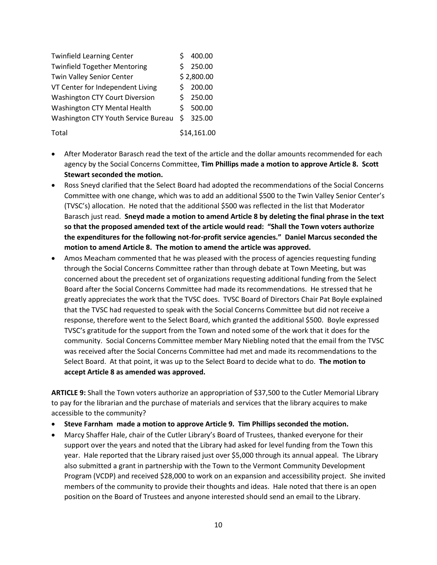| <b>Twinfield Learning Center</b>      |   | 400.00      |
|---------------------------------------|---|-------------|
| <b>Twinfield Together Mentoring</b>   |   | 250.00      |
| Twin Valley Senior Center             |   | \$2,800.00  |
| VT Center for Independent Living      | S | 200.00      |
| <b>Washington CTY Court Diversion</b> | ς | 250.00      |
| <b>Washington CTY Mental Health</b>   | S | 500.00      |
| Washington CTY Youth Service Bureau   |   | \$325.00    |
| Total                                 |   | \$14,161.00 |

- After Moderator Barasch read the text of the article and the dollar amounts recommended for each agency by the Social Concerns Committee, **Tim Phillips made a motion to approve Article 8. Scott Stewart seconded the motion.**
- Ross Sneyd clarified that the Select Board had adopted the recommendations of the Social Concerns Committee with one change, which was to add an additional \$500 to the Twin Valley Senior Center's (TVSC's) allocation. He noted that the additional \$500 was reflected in the list that Moderator Barasch just read. **Sneyd made a motion to amend Article 8 by deleting the final phrase in the text so that the proposed amended text of the article would read: "Shall the Town voters authorize the expenditures for the following not-for-profit service agencies." Daniel Marcus seconded the motion to amend Article 8. The motion to amend the article was approved.**
- Amos Meacham commented that he was pleased with the process of agencies requesting funding through the Social Concerns Committee rather than through debate at Town Meeting, but was concerned about the precedent set of organizations requesting additional funding from the Select Board after the Social Concerns Committee had made its recommendations. He stressed that he greatly appreciates the work that the TVSC does. TVSC Board of Directors Chair Pat Boyle explained that the TVSC had requested to speak with the Social Concerns Committee but did not receive a response, therefore went to the Select Board, which granted the additional \$500. Boyle expressed TVSC's gratitude for the support from the Town and noted some of the work that it does for the community. Social Concerns Committee member Mary Niebling noted that the email from the TVSC was received after the Social Concerns Committee had met and made its recommendations to the Select Board. At that point, it was up to the Select Board to decide what to do. **The motion to accept Article 8 as amended was approved.**

**ARTICLE 9:** Shall the Town voters authorize an appropriation of \$37,500 to the Cutler Memorial Library to pay for the librarian and the purchase of materials and services that the library acquires to make accessible to the community?

- **Steve Farnham made a motion to approve Article 9. Tim Phillips seconded the motion.**
- Marcy Shaffer Hale, chair of the Cutler Library's Board of Trustees, thanked everyone for their support over the years and noted that the Library had asked for level funding from the Town this year. Hale reported that the Library raised just over \$5,000 through its annual appeal. The Library also submitted a grant in partnership with the Town to the Vermont Community Development Program (VCDP) and received \$28,000 to work on an expansion and accessibility project. She invited members of the community to provide their thoughts and ideas. Hale noted that there is an open position on the Board of Trustees and anyone interested should send an email to the Library.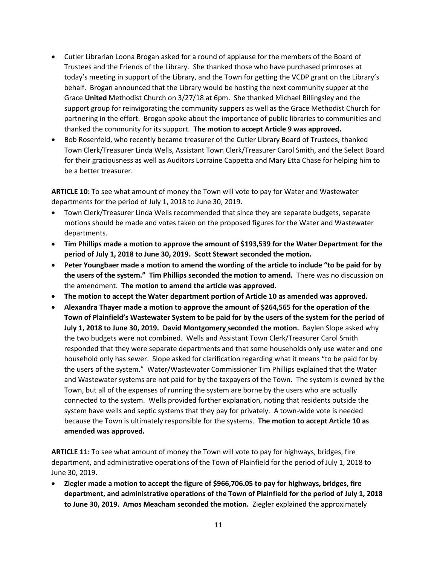- Cutler Librarian Loona Brogan asked for a round of applause for the members of the Board of Trustees and the Friends of the Library. She thanked those who have purchased primroses at today's meeting in support of the Library, and the Town for getting the VCDP grant on the Library's behalf. Brogan announced that the Library would be hosting the next community supper at the Grace **United** Methodist Church on 3/27/18 at 6pm. She thanked Michael Billingsley and the support group for reinvigorating the community suppers as well as the Grace Methodist Church for partnering in the effort. Brogan spoke about the importance of public libraries to communities and thanked the community for its support. **The motion to accept Article 9 was approved.**
- Bob Rosenfeld, who recently became treasurer of the Cutler Library Board of Trustees, thanked Town Clerk/Treasurer Linda Wells, Assistant Town Clerk/Treasurer Carol Smith, and the Select Board for their graciousness as well as Auditors Lorraine Cappetta and Mary Etta Chase for helping him to be a better treasurer.

**ARTICLE 10:** To see what amount of money the Town will vote to pay for Water and Wastewater departments for the period of July 1, 2018 to June 30, 2019.

- Town Clerk/Treasurer Linda Wells recommended that since they are separate budgets, separate motions should be made and votes taken on the proposed figures for the Water and Wastewater departments.
- **Tim Phillips made a motion to approve the amount of \$193,539 for the Water Department for the period of July 1, 2018 to June 30, 2019. Scott Stewart seconded the motion.**
- **Peter Youngbaer made a motion to amend the wording of the article to include "to be paid for by the users of the system." Tim Phillips seconded the motion to amend.** There was no discussion on the amendment. **The motion to amend the article was approved.**
- **The motion to accept the Water department portion of Article 10 as amended was approved.**
- **Alexandra Thayer made a motion to approve the amount of \$264,565 for the operation of the Town of Plainfield's Wastewater System to be paid for by the users of the system for the period of July 1, 2018 to June 30, 2019. David Montgomery seconded the motion.** Baylen Slope asked why the two budgets were not combined. Wells and Assistant Town Clerk/Treasurer Carol Smith responded that they were separate departments and that some households only use water and one household only has sewer. Slope asked for clarification regarding what it means "to be paid for by the users of the system." Water/Wastewater Commissioner Tim Phillips explained that the Water and Wastewater systems are not paid for by the taxpayers of the Town. The system is owned by the Town, but all of the expenses of running the system are borne by the users who are actually connected to the system. Wells provided further explanation, noting that residents outside the system have wells and septic systems that they pay for privately. A town-wide vote is needed because the Town is ultimately responsible for the systems. **The motion to accept Article 10 as amended was approved.**

**ARTICLE 11:** To see what amount of money the Town will vote to pay for highways, bridges, fire department, and administrative operations of the Town of Plainfield for the period of July 1, 2018 to June 30, 2019.

 **Ziegler made a motion to accept the figure of \$966,706.05 to pay for highways, bridges, fire department, and administrative operations of the Town of Plainfield for the period of July 1, 2018 to June 30, 2019. Amos Meacham seconded the motion.** Ziegler explained the approximately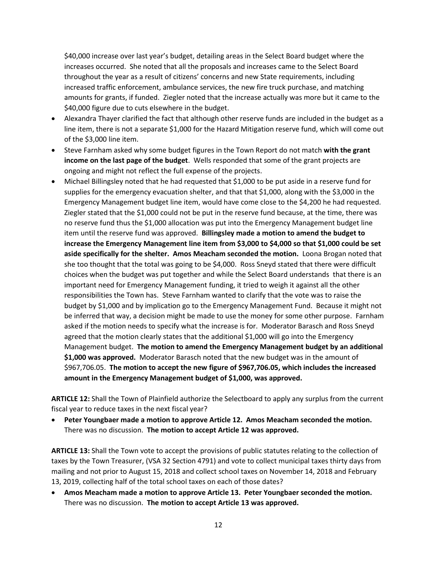\$40,000 increase over last year's budget, detailing areas in the Select Board budget where the increases occurred. She noted that all the proposals and increases came to the Select Board throughout the year as a result of citizens' concerns and new State requirements, including increased traffic enforcement, ambulance services, the new fire truck purchase, and matching amounts for grants, if funded. Ziegler noted that the increase actually was more but it came to the \$40,000 figure due to cuts elsewhere in the budget.

- Alexandra Thayer clarified the fact that although other reserve funds are included in the budget as a line item, there is not a separate \$1,000 for the Hazard Mitigation reserve fund, which will come out of the \$3,000 line item.
- Steve Farnham asked why some budget figures in the Town Report do not match **with the grant income on the last page of the budget**. Wells responded that some of the grant projects are ongoing and might not reflect the full expense of the projects.
- Michael Billingsley noted that he had requested that \$1,000 to be put aside in a reserve fund for supplies for the emergency evacuation shelter, and that that \$1,000, along with the \$3,000 in the Emergency Management budget line item, would have come close to the \$4,200 he had requested. Ziegler stated that the \$1,000 could not be put in the reserve fund because, at the time, there was no reserve fund thus the \$1,000 allocation was put into the Emergency Management budget line item until the reserve fund was approved. **Billingsley made a motion to amend the budget to increase the Emergency Management line item from \$3,000 to \$4,000 so that \$1,000 could be set aside specifically for the shelter. Amos Meacham seconded the motion.** Loona Brogan noted that she too thought that the total was going to be \$4,000. Ross Sneyd stated that there were difficult choices when the budget was put together and while the Select Board understands that there is an important need for Emergency Management funding, it tried to weigh it against all the other responsibilities the Town has. Steve Farnham wanted to clarify that the vote was to raise the budget by \$1,000 and by implication go to the Emergency Management Fund. Because it might not be inferred that way, a decision might be made to use the money for some other purpose. Farnham asked if the motion needs to specify what the increase is for. Moderator Barasch and Ross Sneyd agreed that the motion clearly states that the additional \$1,000 will go into the Emergency Management budget. **The motion to amend the Emergency Management budget by an additional \$1,000 was approved.** Moderator Barasch noted that the new budget was in the amount of \$967,706.05. **The motion to accept the new figure of \$967,706.05, which includes the increased amount in the Emergency Management budget of \$1,000, was approved.**

**ARTICLE 12:** Shall the Town of Plainfield authorize the Selectboard to apply any surplus from the current fiscal year to reduce taxes in the next fiscal year?

 **Peter Youngbaer made a motion to approve Article 12. Amos Meacham seconded the motion.**  There was no discussion. **The motion to accept Article 12 was approved.**

**ARTICLE 13:** Shall the Town vote to accept the provisions of public statutes relating to the collection of taxes by the Town Treasurer, (VSA 32 Section 4791) and vote to collect municipal taxes thirty days from mailing and not prior to August 15, 2018 and collect school taxes on November 14, 2018 and February 13, 2019, collecting half of the total school taxes on each of those dates?

 **Amos Meacham made a motion to approve Article 13. Peter Youngbaer seconded the motion.**  There was no discussion. **The motion to accept Article 13 was approved.**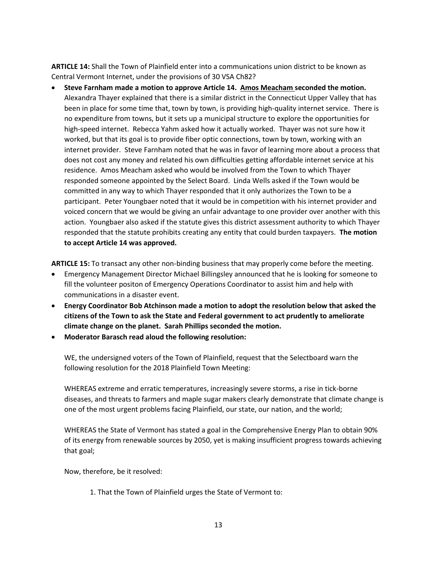**ARTICLE 14:** Shall the Town of Plainfield enter into a communications union district to be known as Central Vermont Internet, under the provisions of 30 VSA Ch82?

 **Steve Farnham made a motion to approve Article 14. Amos Meacham seconded the motion.**  Alexandra Thayer explained that there is a similar district in the Connecticut Upper Valley that has been in place for some time that, town by town, is providing high-quality internet service. There is no expenditure from towns, but it sets up a municipal structure to explore the opportunities for high-speed internet. Rebecca Yahm asked how it actually worked. Thayer was not sure how it worked, but that its goal is to provide fiber optic connections, town by town, working with an internet provider. Steve Farnham noted that he was in favor of learning more about a process that does not cost any money and related his own difficulties getting affordable internet service at his residence. Amos Meacham asked who would be involved from the Town to which Thayer responded someone appointed by the Select Board. Linda Wells asked if the Town would be committed in any way to which Thayer responded that it only authorizes the Town to be a participant. Peter Youngbaer noted that it would be in competition with his internet provider and voiced concern that we would be giving an unfair advantage to one provider over another with this action. Youngbaer also asked if the statute gives this district assessment authority to which Thayer responded that the statute prohibits creating any entity that could burden taxpayers. **The motion to accept Article 14 was approved.** 

**ARTICLE 15:** To transact any other non-binding business that may properly come before the meeting.

- Emergency Management Director Michael Billingsley announced that he is looking for someone to fill the volunteer positon of Emergency Operations Coordinator to assist him and help with communications in a disaster event.
- **Energy Coordinator Bob Atchinson made a motion to adopt the resolution below that asked the citizens of the Town to ask the State and Federal government to act prudently to ameliorate climate change on the planet. Sarah Phillips seconded the motion.**
- **Moderator Barasch read aloud the following resolution:**

WE, the undersigned voters of the Town of Plainfield, request that the Selectboard warn the following resolution for the 2018 Plainfield Town Meeting:

WHEREAS extreme and erratic temperatures, increasingly severe storms, a rise in tick-borne diseases, and threats to farmers and maple sugar makers clearly demonstrate that climate change is one of the most urgent problems facing Plainfield, our state, our nation, and the world;

WHEREAS the State of Vermont has stated a goal in the Comprehensive Energy Plan to obtain 90% of its energy from renewable sources by 2050, yet is making insufficient progress towards achieving that goal;

Now, therefore, be it resolved:

1. That the Town of Plainfield urges the State of Vermont to: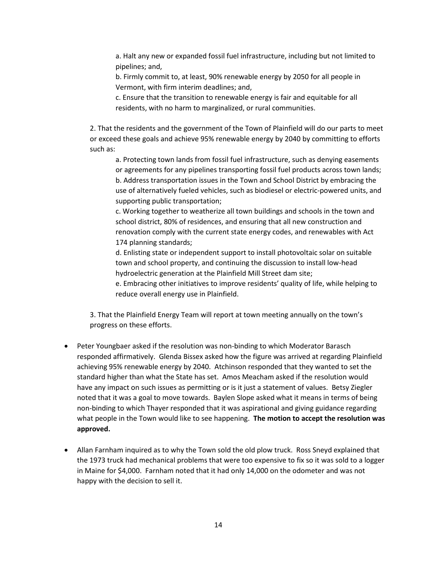a. Halt any new or expanded fossil fuel infrastructure, including but not limited to pipelines; and,

b. Firmly commit to, at least, 90% renewable energy by 2050 for all people in Vermont, with firm interim deadlines; and,

c. Ensure that the transition to renewable energy is fair and equitable for all residents, with no harm to marginalized, or rural communities.

2. That the residents and the government of the Town of Plainfield will do our parts to meet or exceed these goals and achieve 95% renewable energy by 2040 by committing to efforts such as:

a. Protecting town lands from fossil fuel infrastructure, such as denying easements or agreements for any pipelines transporting fossil fuel products across town lands; b. Address transportation issues in the Town and School District by embracing the use of alternatively fueled vehicles, such as biodiesel or electric-powered units, and supporting public transportation;

c. Working together to weatherize all town buildings and schools in the town and school district, 80% of residences, and ensuring that all new construction and renovation comply with the current state energy codes, and renewables with Act 174 planning standards;

d. Enlisting state or independent support to install photovoltaic solar on suitable town and school property, and continuing the discussion to install low-head hydroelectric generation at the Plainfield Mill Street dam site;

e. Embracing other initiatives to improve residents' quality of life, while helping to reduce overall energy use in Plainfield.

3. That the Plainfield Energy Team will report at town meeting annually on the town's progress on these efforts.

- Peter Youngbaer asked if the resolution was non-binding to which Moderator Barasch responded affirmatively. Glenda Bissex asked how the figure was arrived at regarding Plainfield achieving 95% renewable energy by 2040. Atchinson responded that they wanted to set the standard higher than what the State has set. Amos Meacham asked if the resolution would have any impact on such issues as permitting or is it just a statement of values. Betsy Ziegler noted that it was a goal to move towards. Baylen Slope asked what it means in terms of being non-binding to which Thayer responded that it was aspirational and giving guidance regarding what people in the Town would like to see happening. **The motion to accept the resolution was approved.**
- Allan Farnham inquired as to why the Town sold the old plow truck. Ross Sneyd explained that the 1973 truck had mechanical problems that were too expensive to fix so it was sold to a logger in Maine for \$4,000. Farnham noted that it had only 14,000 on the odometer and was not happy with the decision to sell it.